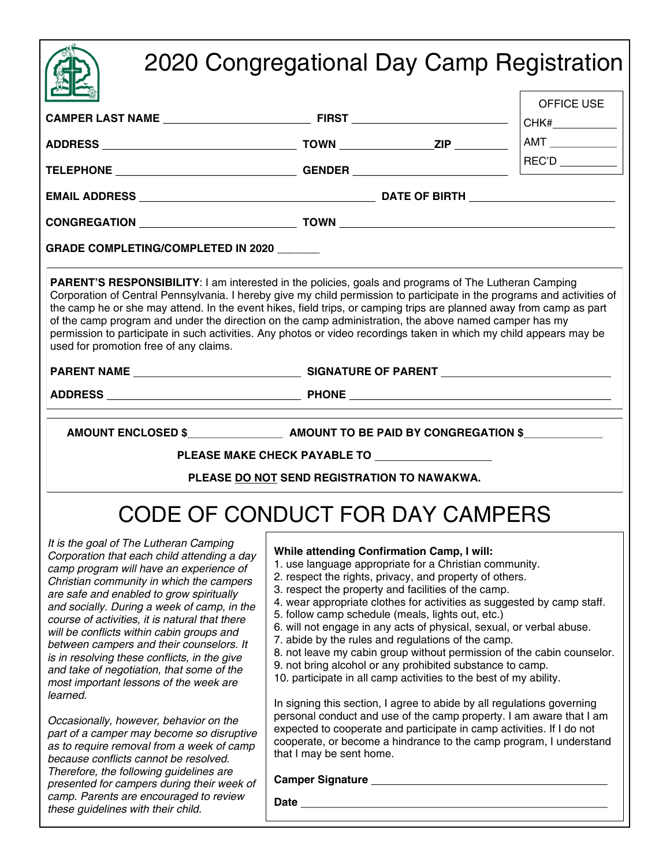## 2020 Congregational Day Camp Registration

| $\sum_{i=1}^n$                                                                                                                                                                                                                                                                                                                                                                                                                                                                                                                                                                                                                                                                                            |                                                                                                                                                                                                                                                                                                                                                                                                                                                                                                                                                                                                                                                                                                                                                                                                                                                                                                                                                                                                 |            |  |  |  |
|-----------------------------------------------------------------------------------------------------------------------------------------------------------------------------------------------------------------------------------------------------------------------------------------------------------------------------------------------------------------------------------------------------------------------------------------------------------------------------------------------------------------------------------------------------------------------------------------------------------------------------------------------------------------------------------------------------------|-------------------------------------------------------------------------------------------------------------------------------------------------------------------------------------------------------------------------------------------------------------------------------------------------------------------------------------------------------------------------------------------------------------------------------------------------------------------------------------------------------------------------------------------------------------------------------------------------------------------------------------------------------------------------------------------------------------------------------------------------------------------------------------------------------------------------------------------------------------------------------------------------------------------------------------------------------------------------------------------------|------------|--|--|--|
|                                                                                                                                                                                                                                                                                                                                                                                                                                                                                                                                                                                                                                                                                                           |                                                                                                                                                                                                                                                                                                                                                                                                                                                                                                                                                                                                                                                                                                                                                                                                                                                                                                                                                                                                 | OFFICE USE |  |  |  |
|                                                                                                                                                                                                                                                                                                                                                                                                                                                                                                                                                                                                                                                                                                           |                                                                                                                                                                                                                                                                                                                                                                                                                                                                                                                                                                                                                                                                                                                                                                                                                                                                                                                                                                                                 |            |  |  |  |
|                                                                                                                                                                                                                                                                                                                                                                                                                                                                                                                                                                                                                                                                                                           |                                                                                                                                                                                                                                                                                                                                                                                                                                                                                                                                                                                                                                                                                                                                                                                                                                                                                                                                                                                                 |            |  |  |  |
|                                                                                                                                                                                                                                                                                                                                                                                                                                                                                                                                                                                                                                                                                                           |                                                                                                                                                                                                                                                                                                                                                                                                                                                                                                                                                                                                                                                                                                                                                                                                                                                                                                                                                                                                 |            |  |  |  |
|                                                                                                                                                                                                                                                                                                                                                                                                                                                                                                                                                                                                                                                                                                           |                                                                                                                                                                                                                                                                                                                                                                                                                                                                                                                                                                                                                                                                                                                                                                                                                                                                                                                                                                                                 |            |  |  |  |
| <b>GRADE COMPLETING/COMPLETED IN 2020</b>                                                                                                                                                                                                                                                                                                                                                                                                                                                                                                                                                                                                                                                                 |                                                                                                                                                                                                                                                                                                                                                                                                                                                                                                                                                                                                                                                                                                                                                                                                                                                                                                                                                                                                 |            |  |  |  |
| <b>PARENT'S RESPONSIBILITY: I am interested in the policies, goals and programs of The Lutheran Camping</b><br>Corporation of Central Pennsylvania. I hereby give my child permission to participate in the programs and activities of<br>the camp he or she may attend. In the event hikes, field trips, or camping trips are planned away from camp as part<br>of the camp program and under the direction on the camp administration, the above named camper has my<br>permission to participate in such activities. Any photos or video recordings taken in which my child appears may be<br>used for promotion free of any claims.                                                                   |                                                                                                                                                                                                                                                                                                                                                                                                                                                                                                                                                                                                                                                                                                                                                                                                                                                                                                                                                                                                 |            |  |  |  |
|                                                                                                                                                                                                                                                                                                                                                                                                                                                                                                                                                                                                                                                                                                           |                                                                                                                                                                                                                                                                                                                                                                                                                                                                                                                                                                                                                                                                                                                                                                                                                                                                                                                                                                                                 |            |  |  |  |
|                                                                                                                                                                                                                                                                                                                                                                                                                                                                                                                                                                                                                                                                                                           | PLEASE MAKE CHECK PAYABLE TO <b>with the contract of the contract of the contract of the contract of the contract of the contract of the contract of the contract of the contract of the contract of the contract of the contrac</b><br>PLEASE DO NOT SEND REGISTRATION TO NAWAKWA.                                                                                                                                                                                                                                                                                                                                                                                                                                                                                                                                                                                                                                                                                                             |            |  |  |  |
|                                                                                                                                                                                                                                                                                                                                                                                                                                                                                                                                                                                                                                                                                                           | CODE OF CONDUCT FOR DAY CAMPERS                                                                                                                                                                                                                                                                                                                                                                                                                                                                                                                                                                                                                                                                                                                                                                                                                                                                                                                                                                 |            |  |  |  |
| It is the goal of The Lutheran Camping<br>Corporation that each child attending a day<br>camp program will have an experience of<br>Christian community in which the campers<br>are safe and enabled to grow spiritually<br>and socially. During a week of camp, in the<br>course of activities, it is natural that there<br>will be conflicts within cabin groups and<br>between campers and their counselors. It<br>is in resolving these conflicts, in the give<br>and take of negotiation, that some of the<br>most important lessons of the week are<br>learned.<br>Occasionally, however, behavior on the<br>part of a camper may become so disruptive<br>as to require removal from a week of camp | While attending Confirmation Camp, I will:<br>1. use language appropriate for a Christian community.<br>2. respect the rights, privacy, and property of others.<br>3. respect the property and facilities of the camp.<br>4. wear appropriate clothes for activities as suggested by camp staff.<br>5. follow camp schedule (meals, lights out, etc.)<br>6. will not engage in any acts of physical, sexual, or verbal abuse.<br>7. abide by the rules and regulations of the camp.<br>8. not leave my cabin group without permission of the cabin counselor.<br>9. not bring alcohol or any prohibited substance to camp.<br>10. participate in all camp activities to the best of my ability.<br>In signing this section, I agree to abide by all regulations governing<br>personal conduct and use of the camp property. I am aware that I am<br>expected to cooperate and participate in camp activities. If I do not<br>cooperate, or become a hindrance to the camp program, I understand |            |  |  |  |
| because conflicts cannot be resolved.<br>Therefore, the following guidelines are<br>presented for campers during their week of                                                                                                                                                                                                                                                                                                                                                                                                                                                                                                                                                                            | that I may be sent home.<br>Camper Signature Management Camper Signature                                                                                                                                                                                                                                                                                                                                                                                                                                                                                                                                                                                                                                                                                                                                                                                                                                                                                                                        |            |  |  |  |
| camp. Parents are encouraged to review                                                                                                                                                                                                                                                                                                                                                                                                                                                                                                                                                                                                                                                                    | <b>Date</b>                                                                                                                                                                                                                                                                                                                                                                                                                                                                                                                                                                                                                                                                                                                                                                                                                                                                                                                                                                                     |            |  |  |  |

**Date**

*these guidelines with their child.*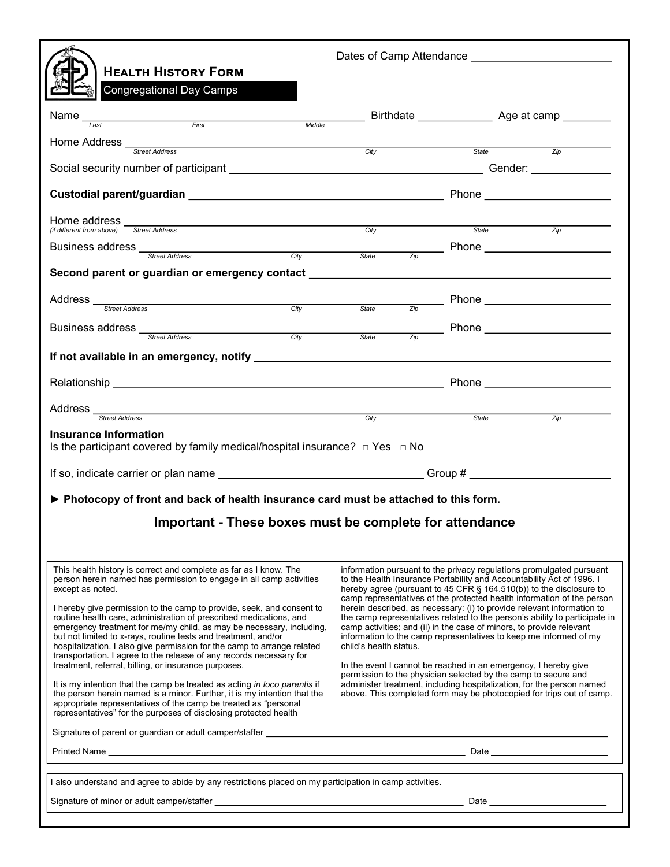| <b>HEALTH HISTORY FORM</b>                                                                                                                                                                                                                                                                   |  |                                                                                                                                                                                                                                                                                                |             |       | Dates of Camp Attendance Network and Security and Dates of Camp Attendance                                                                         |  |
|----------------------------------------------------------------------------------------------------------------------------------------------------------------------------------------------------------------------------------------------------------------------------------------------|--|------------------------------------------------------------------------------------------------------------------------------------------------------------------------------------------------------------------------------------------------------------------------------------------------|-------------|-------|----------------------------------------------------------------------------------------------------------------------------------------------------|--|
| <b>Congregational Day Camps</b>                                                                                                                                                                                                                                                              |  |                                                                                                                                                                                                                                                                                                |             |       |                                                                                                                                                    |  |
| Name_<br>First Middle<br>Last                                                                                                                                                                                                                                                                |  |                                                                                                                                                                                                                                                                                                |             |       |                                                                                                                                                    |  |
|                                                                                                                                                                                                                                                                                              |  |                                                                                                                                                                                                                                                                                                |             |       |                                                                                                                                                    |  |
| Home Address <u>street Address and the City of the City of the City of the City of the City of the City of the City of the City of the City of the City of the City of the City of the City of the City of the City of the City </u>                                                         |  | City                                                                                                                                                                                                                                                                                           |             | State | $\overline{Z}$ ip                                                                                                                                  |  |
|                                                                                                                                                                                                                                                                                              |  |                                                                                                                                                                                                                                                                                                |             |       |                                                                                                                                                    |  |
|                                                                                                                                                                                                                                                                                              |  |                                                                                                                                                                                                                                                                                                |             |       |                                                                                                                                                    |  |
| Home address<br><b>Street Address</b>                                                                                                                                                                                                                                                        |  |                                                                                                                                                                                                                                                                                                | <b>City</b> | State | $\overline{Zip}$                                                                                                                                   |  |
| (if different from above)                                                                                                                                                                                                                                                                    |  |                                                                                                                                                                                                                                                                                                |             |       | $\frac{1}{z_{ip}}$ Phone                                                                                                                           |  |
| Business address<br>Street Address<br>City City State                                                                                                                                                                                                                                        |  |                                                                                                                                                                                                                                                                                                |             |       |                                                                                                                                                    |  |
| Second parent or guardian or emergency contact _________________________________                                                                                                                                                                                                             |  |                                                                                                                                                                                                                                                                                                |             |       |                                                                                                                                                    |  |
| Address _<br>Street Address City State                                                                                                                                                                                                                                                       |  |                                                                                                                                                                                                                                                                                                |             |       |                                                                                                                                                    |  |
| City                                                                                                                                                                                                                                                                                         |  |                                                                                                                                                                                                                                                                                                |             |       |                                                                                                                                                    |  |
|                                                                                                                                                                                                                                                                                              |  | <u>State</u>                                                                                                                                                                                                                                                                                   |             |       | $\frac{z_{\text{ip}}}{z_{\text{ip}}}$ Phone                                                                                                        |  |
|                                                                                                                                                                                                                                                                                              |  |                                                                                                                                                                                                                                                                                                |             |       |                                                                                                                                                    |  |
|                                                                                                                                                                                                                                                                                              |  |                                                                                                                                                                                                                                                                                                |             |       | Phone ________________________                                                                                                                     |  |
| Address Street Address Street Address                                                                                                                                                                                                                                                        |  | City                                                                                                                                                                                                                                                                                           |             | State | $\overline{Z}$ ip                                                                                                                                  |  |
| Insurance Information<br>Is the participant covered by family medical/hospital insurance? $\Box$ Yes $\Box$ No                                                                                                                                                                               |  |                                                                                                                                                                                                                                                                                                |             |       |                                                                                                                                                    |  |
|                                                                                                                                                                                                                                                                                              |  |                                                                                                                                                                                                                                                                                                |             |       |                                                                                                                                                    |  |
| ▶ Photocopy of front and back of health insurance card must be attached to this form.                                                                                                                                                                                                        |  |                                                                                                                                                                                                                                                                                                |             |       |                                                                                                                                                    |  |
| Important - These boxes must be complete for attendance                                                                                                                                                                                                                                      |  |                                                                                                                                                                                                                                                                                                |             |       |                                                                                                                                                    |  |
|                                                                                                                                                                                                                                                                                              |  |                                                                                                                                                                                                                                                                                                |             |       |                                                                                                                                                    |  |
|                                                                                                                                                                                                                                                                                              |  |                                                                                                                                                                                                                                                                                                |             |       |                                                                                                                                                    |  |
| This health history is correct and complete as far as I know. The<br>person herein named has permission to engage in all camp activities<br>except as noted.                                                                                                                                 |  | information pursuant to the privacy regulations promulgated pursuant<br>to the Health Insurance Portability and Accountability Act of 1996. I<br>hereby agree (pursuant to 45 CFR § 164.510(b)) to the disclosure to<br>camp representatives of the protected health information of the person |             |       |                                                                                                                                                    |  |
| I hereby give permission to the camp to provide, seek, and consent to                                                                                                                                                                                                                        |  |                                                                                                                                                                                                                                                                                                |             |       | herein described, as necessary: (i) to provide relevant information to                                                                             |  |
| routine health care, administration of prescribed medications, and<br>emergency treatment for me/my child, as may be necessary, including,                                                                                                                                                   |  |                                                                                                                                                                                                                                                                                                |             |       | the camp representatives related to the person's ability to participate in<br>camp activities; and (ii) in the case of minors, to provide relevant |  |
| but not limited to x-rays, routine tests and treatment, and/or<br>hospitalization. I also give permission for the camp to arrange related                                                                                                                                                    |  | child's health status.                                                                                                                                                                                                                                                                         |             |       | information to the camp representatives to keep me informed of my                                                                                  |  |
| transportation. I agree to the release of any records necessary for<br>treatment, referral, billing, or insurance purposes.                                                                                                                                                                  |  |                                                                                                                                                                                                                                                                                                |             |       | In the event I cannot be reached in an emergency, I hereby give                                                                                    |  |
| It is my intention that the camp be treated as acting in loco parentis if<br>the person herein named is a minor. Further, it is my intention that the<br>appropriate representatives of the camp be treated as "personal<br>representatives" for the purposes of disclosing protected health |  | permission to the physician selected by the camp to secure and<br>administer treatment, including hospitalization, for the person named<br>above. This completed form may be photocopied for trips out of camp.                                                                                |             |       |                                                                                                                                                    |  |
| Signature of parent or guardian or adult camper/staffer example and the state of parents of parents of parents of the state of parents of the state of parents of the state of the state of the state of the state of the stat                                                               |  |                                                                                                                                                                                                                                                                                                |             |       |                                                                                                                                                    |  |
|                                                                                                                                                                                                                                                                                              |  |                                                                                                                                                                                                                                                                                                |             |       |                                                                                                                                                    |  |
| I also understand and agree to abide by any restrictions placed on my participation in camp activities.                                                                                                                                                                                      |  |                                                                                                                                                                                                                                                                                                |             |       |                                                                                                                                                    |  |
|                                                                                                                                                                                                                                                                                              |  |                                                                                                                                                                                                                                                                                                |             |       |                                                                                                                                                    |  |
|                                                                                                                                                                                                                                                                                              |  |                                                                                                                                                                                                                                                                                                |             |       |                                                                                                                                                    |  |